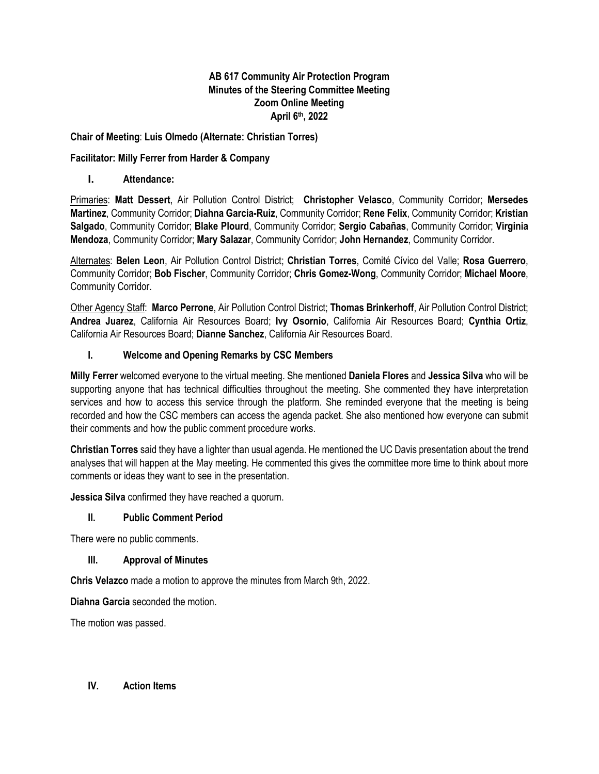# **AB 617 Community Air Protection Program Minutes of the Steering Committee Meeting Zoom Online Meeting April 6th, 2022**

# **Chair of Meeting**: **Luis Olmedo (Alternate: Christian Torres)**

### **Facilitator: Milly Ferrer from Harder & Company**

#### **I. Attendance:**

Primaries: **Matt Dessert**, Air Pollution Control District; **Christopher Velasco**, Community Corridor; **Mersedes Martinez**, Community Corridor; **Diahna Garcia-Ruiz**, Community Corridor; **Rene Felix**, Community Corridor; **Kristian Salgado**, Community Corridor; **Blake Plourd**, Community Corridor; **Sergio Cabañas**, Community Corridor; **Virginia Mendoza**, Community Corridor; **Mary Salazar**, Community Corridor; **John Hernandez**, Community Corridor.

Alternates: **Belen Leon**, Air Pollution Control District; **Christian Torres**, Comité Cívico del Valle; **Rosa Guerrero**, Community Corridor; **Bob Fischer**, Community Corridor; **Chris Gomez-Wong**, Community Corridor; **Michael Moore**, Community Corridor.

Other Agency Staff: **Marco Perrone**, Air Pollution Control District; **Thomas Brinkerhoff**, Air Pollution Control District; **Andrea Juarez**, California Air Resources Board; **Ivy Osornio**, California Air Resources Board; **Cynthia Ortiz**, California Air Resources Board; **Dianne Sanchez**, California Air Resources Board.

### **I. Welcome and Opening Remarks by CSC Members**

**Milly Ferrer** welcomed everyone to the virtual meeting. She mentioned **Daniela Flores** and **Jessica Silva** who will be supporting anyone that has technical difficulties throughout the meeting. She commented they have interpretation services and how to access this service through the platform. She reminded everyone that the meeting is being recorded and how the CSC members can access the agenda packet. She also mentioned how everyone can submit their comments and how the public comment procedure works.

**Christian Torres** said they have a lighter than usual agenda. He mentioned the UC Davis presentation about the trend analyses that will happen at the May meeting. He commented this gives the committee more time to think about more comments or ideas they want to see in the presentation.

**Jessica Silva** confirmed they have reached a quorum.

#### **II. Public Comment Period**

There were no public comments.

#### **III. Approval of Minutes**

**Chris Velazco** made a motion to approve the minutes from March 9th, 2022.

**Diahna Garcia** seconded the motion.

The motion was passed.

## **IV. Action Items**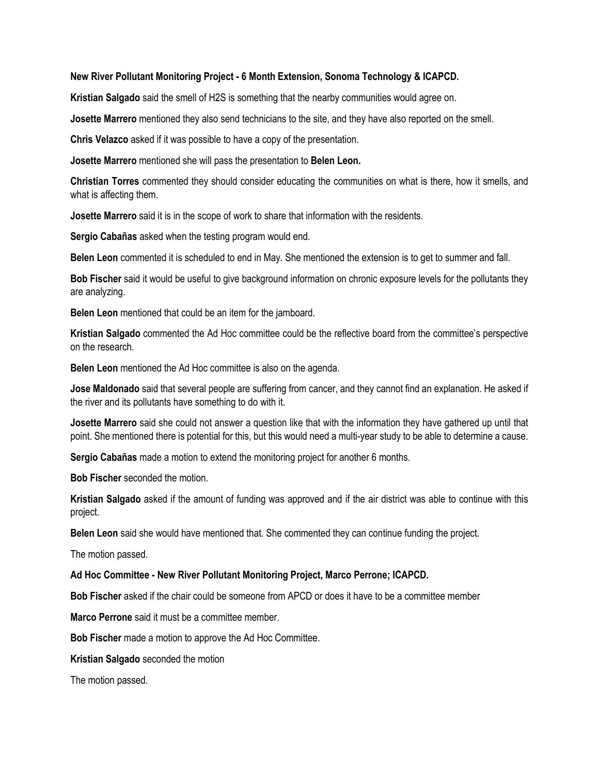#### **New River Pollutant Monitoring Project - 6 Month Extension, Sonoma Technology & ICAPCD.**

**Kristian Salgado** said the smell of H2S is something that the nearby communities would agree on.

**Josette Marrero** mentioned they also send technicians to the site, and they have also reported on the smell.

**Chris Velazco** asked if it was possible to have a copy of the presentation.

**Josette Marrero** mentioned she will pass the presentation to **Belen Leon.**

**Christian Torres** commented they should consider educating the communities on what is there, how it smells, and what is affecting them.

**Josette Marrero** said it is in the scope of work to share that information with the residents.

**Sergio Cabañas** asked when the testing program would end.

**Belen Leon** commented it is scheduled to end in May. She mentioned the extension is to get to summer and fall.

**Bob Fischer** said it would be useful to give background information on chronic exposure levels for the pollutants they are analyzing.

**Belen Leon** mentioned that could be an item for the jamboard.

**Kristian Salgado** commented the Ad Hoc committee could be the reflective board from the committee's perspective on the research.

**Belen Leon** mentioned the Ad Hoc committee is also on the agenda.

**Jose Maldonado** said that several people are suffering from cancer, and they cannot find an explanation. He asked if the river and its pollutants have something to do with it.

**Josette Marrero** said she could not answer a question like that with the information they have gathered up until that point. She mentioned there is potential for this, but this would need a multi-year study to be able to determine a cause.

**Sergio Cabañas** made a motion to extend the monitoring project for another 6 months.

**Bob Fischer** seconded the motion.

**Kristian Salgado** asked if the amount of funding was approved and if the air district was able to continue with this project.

**Belen Leon** said she would have mentioned that. She commented they can continue funding the project.

The motion passed.

**Ad Hoc Committee - New River Pollutant Monitoring Project, Marco Perrone; ICAPCD.**

**Bob Fischer** asked if the chair could be someone from APCD or does it have to be a committee member

**Marco Perrone** said it must be a committee member.

**Bob Fischer** made a motion to approve the Ad Hoc Committee.

**Kristian Salgado** seconded the motion

The motion passed.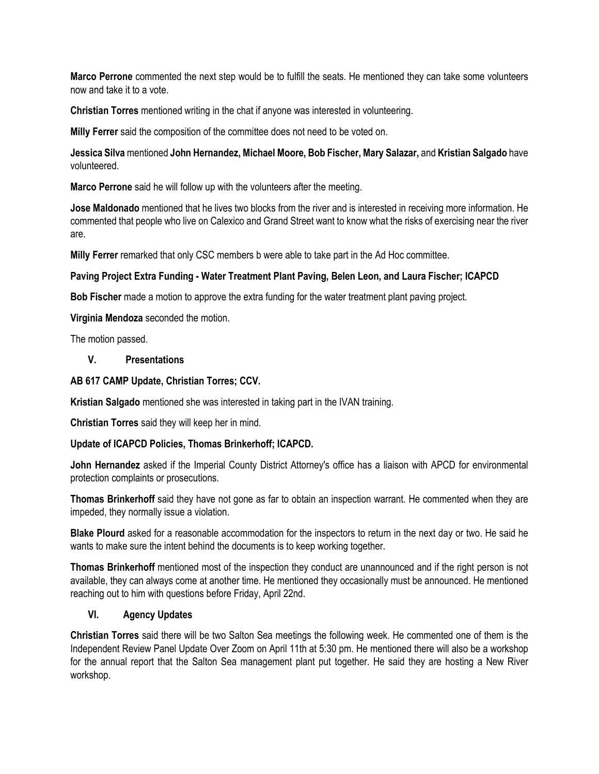**Marco Perrone** commented the next step would be to fulfill the seats. He mentioned they can take some volunteers now and take it to a vote.

**Christian Torres** mentioned writing in the chat if anyone was interested in volunteering.

**Milly Ferrer** said the composition of the committee does not need to be voted on.

**Jessica Silva** mentioned **John Hernandez, Michael Moore, Bob Fischer, Mary Salazar,** and **Kristian Salgado** have volunteered.

**Marco Perrone** said he will follow up with the volunteers after the meeting.

**Jose Maldonado** mentioned that he lives two blocks from the river and is interested in receiving more information. He commented that people who live on Calexico and Grand Street want to know what the risks of exercising near the river are.

**Milly Ferrer** remarked that only CSC members b were able to take part in the Ad Hoc committee.

# **Paving Project Extra Funding - Water Treatment Plant Paving, Belen Leon, and Laura Fischer; ICAPCD**

**Bob Fischer** made a motion to approve the extra funding for the water treatment plant paving project.

**Virginia Mendoza** seconded the motion.

The motion passed.

### **V. Presentations**

### **AB 617 CAMP Update, Christian Torres; CCV.**

**Kristian Salgado** mentioned she was interested in taking part in the IVAN training.

**Christian Torres** said they will keep her in mind.

# **Update of ICAPCD Policies, Thomas Brinkerhoff; ICAPCD.**

**John Hernandez** asked if the Imperial County District Attorney's office has a liaison with APCD for environmental protection complaints or prosecutions.

**Thomas Brinkerhoff** said they have not gone as far to obtain an inspection warrant. He commented when they are impeded, they normally issue a violation.

**Blake Plourd** asked for a reasonable accommodation for the inspectors to return in the next day or two. He said he wants to make sure the intent behind the documents is to keep working together.

**Thomas Brinkerhoff** mentioned most of the inspection they conduct are unannounced and if the right person is not available, they can always come at another time. He mentioned they occasionally must be announced. He mentioned reaching out to him with questions before Friday, April 22nd.

# **VI. Agency Updates**

**Christian Torres** said there will be two Salton Sea meetings the following week. He commented one of them is the Independent Review Panel Update Over Zoom on April 11th at 5:30 pm. He mentioned there will also be a workshop for the annual report that the Salton Sea management plant put together. He said they are hosting a New River workshop.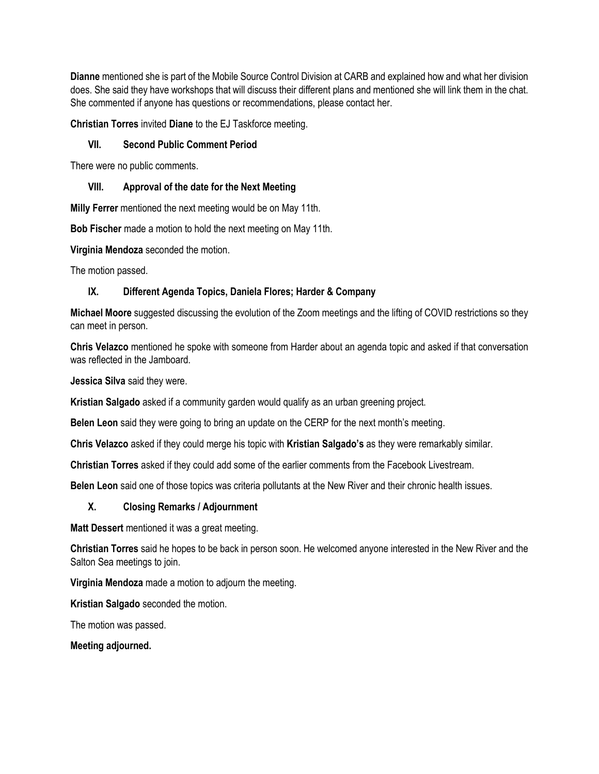**Dianne** mentioned she is part of the Mobile Source Control Division at CARB and explained how and what her division does. She said they have workshops that will discuss their different plans and mentioned she will link them in the chat. She commented if anyone has questions or recommendations, please contact her.

**Christian Torres** invited **Diane** to the EJ Taskforce meeting.

# **VII. Second Public Comment Period**

There were no public comments.

# **VIII. Approval of the date for the Next Meeting**

**Milly Ferrer** mentioned the next meeting would be on May 11th.

**Bob Fischer** made a motion to hold the next meeting on May 11th.

**Virginia Mendoza** seconded the motion.

The motion passed.

# **IX. Different Agenda Topics, Daniela Flores; Harder & Company**

**Michael Moore** suggested discussing the evolution of the Zoom meetings and the lifting of COVID restrictions so they can meet in person.

**Chris Velazco** mentioned he spoke with someone from Harder about an agenda topic and asked if that conversation was reflected in the Jamboard.

**Jessica Silva** said they were.

**Kristian Salgado** asked if a community garden would qualify as an urban greening project.

**Belen Leon** said they were going to bring an update on the CERP for the next month's meeting.

**Chris Velazco** asked if they could merge his topic with **Kristian Salgado's** as they were remarkably similar.

**Christian Torres** asked if they could add some of the earlier comments from the Facebook Livestream.

**Belen Leon** said one of those topics was criteria pollutants at the New River and their chronic health issues.

# **X. Closing Remarks / Adjournment**

**Matt Dessert** mentioned it was a great meeting.

**Christian Torres** said he hopes to be back in person soon. He welcomed anyone interested in the New River and the Salton Sea meetings to join.

**Virginia Mendoza** made a motion to adjourn the meeting.

**Kristian Salgado** seconded the motion.

The motion was passed.

**Meeting adjourned.**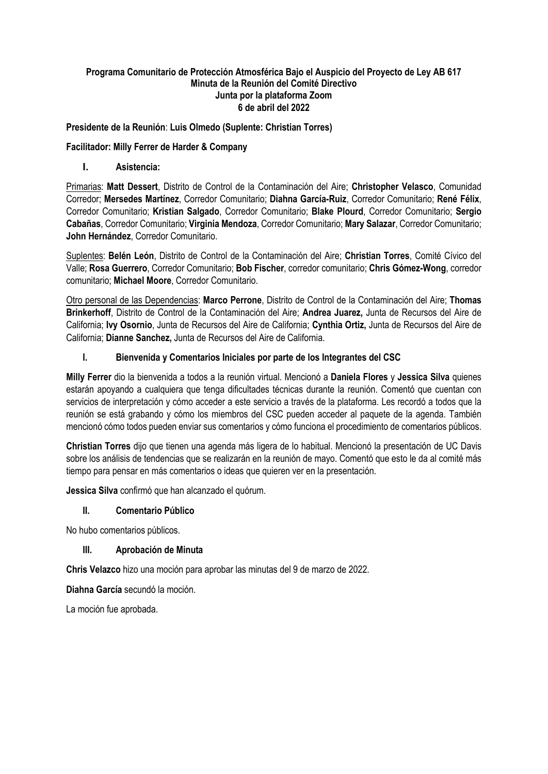# **Programa Comunitario de Protección Atmosférica Bajo el Auspicio del Proyecto de Ley AB 617 Minuta de la Reunión del Comité Directivo Junta por la plataforma Zoom 6 de abril del 2022**

## **Presidente de la Reunión**: **Luis Olmedo (Suplente: Christian Torres)**

## **Facilitador: Milly Ferrer de Harder & Company**

**I. Asistencia:**

Primarias: **Matt Dessert**, Distrito de Control de la Contaminación del Aire; **Christopher Velasco**, Comunidad Corredor; **Mersedes Martínez**, Corredor Comunitario; **Diahna García-Ruiz**, Corredor Comunitario; **René Félix**, Corredor Comunitario; **Kristian Salgado**, Corredor Comunitario; **Blake Plourd**, Corredor Comunitario; **Sergio Cabañas**, Corredor Comunitario; **Virginia Mendoza**, Corredor Comunitario; **Mary Salazar**, Corredor Comunitario; **John Hernández**, Corredor Comunitario.

Suplentes: **Belén León**, Distrito de Control de la Contaminación del Aire; **Christian Torres**, Comité Cívico del Valle; **Rosa Guerrero**, Corredor Comunitario; **Bob Fischer**, corredor comunitario; **Chris Gómez-Wong**, corredor comunitario; **Michael Moore**, Corredor Comunitario.

Otro personal de las Dependencias: **Marco Perrone**, Distrito de Control de la Contaminación del Aire; **Thomas Brinkerhoff**, Distrito de Control de la Contaminación del Aire; **Andrea Juarez,** Junta de Recursos del Aire de California; **Ivy Osornio**, Junta de Recursos del Aire de California; **Cynthia Ortiz,** Junta de Recursos del Aire de California; **Dianne Sanchez,** Junta de Recursos del Aire de California.

### **I. Bienvenida y Comentarios Iniciales por parte de los Integrantes del CSC**

**Milly Ferrer** dio la bienvenida a todos a la reunión virtual. Mencionó a **Daniela Flores** y **Jessica Silva** quienes estarán apoyando a cualquiera que tenga dificultades técnicas durante la reunión. Comentó que cuentan con servicios de interpretación y cómo acceder a este servicio a través de la plataforma. Les recordó a todos que la reunión se está grabando y cómo los miembros del CSC pueden acceder al paquete de la agenda. También mencionó cómo todos pueden enviar sus comentarios y cómo funciona el procedimiento de comentarios públicos.

**Christian Torres** dijo que tienen una agenda más ligera de lo habitual. Mencionó la presentación de UC Davis sobre los análisis de tendencias que se realizarán en la reunión de mayo. Comentó que esto le da al comité más tiempo para pensar en más comentarios o ideas que quieren ver en la presentación.

**Jessica Silva** confirmó que han alcanzado el quórum.

# **II. Comentario Público**

No hubo comentarios públicos.

#### **III. Aprobación de Minuta**

**Chris Velazco** hizo una moción para aprobar las minutas del 9 de marzo de 2022.

**Diahna García** secundó la moción.

La moción fue aprobada.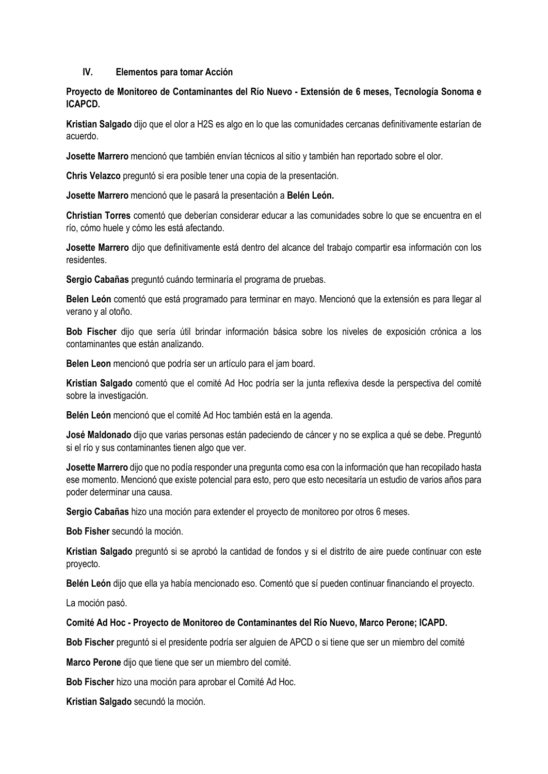#### **IV. Elementos para tomar Acción**

**Proyecto de Monitoreo de Contaminantes del Río Nuevo - Extensión de 6 meses, Tecnología Sonoma e ICAPCD.** 

**Kristian Salgado** dijo que el olor a H2S es algo en lo que las comunidades cercanas definitivamente estarían de acuerdo.

**Josette Marrero** mencionó que también envían técnicos al sitio y también han reportado sobre el olor.

**Chris Velazco** preguntó si era posible tener una copia de la presentación.

**Josette Marrero** mencionó que le pasará la presentación a **Belén León.**

**Christian Torres** comentó que deberían considerar educar a las comunidades sobre lo que se encuentra en el río, cómo huele y cómo les está afectando.

**Josette Marrero** dijo que definitivamente está dentro del alcance del trabajo compartir esa información con los residentes.

**Sergio Cabañas** preguntó cuándo terminaría el programa de pruebas.

**Belen León** comentó que está programado para terminar en mayo. Mencionó que la extensión es para llegar al verano y al otoño.

**Bob Fischer** dijo que sería útil brindar información básica sobre los niveles de exposición crónica a los contaminantes que están analizando.

**Belen Leon** mencionó que podría ser un artículo para el jam board.

**Kristian Salgado** comentó que el comité Ad Hoc podría ser la junta reflexiva desde la perspectiva del comité sobre la investigación.

**Belén León** mencionó que el comité Ad Hoc también está en la agenda.

**José Maldonado** dijo que varias personas están padeciendo de cáncer y no se explica a qué se debe. Preguntó si el río y sus contaminantes tienen algo que ver.

**Josette Marrero** dijo que no podía responder una pregunta como esa con la información que han recopilado hasta ese momento. Mencionó que existe potencial para esto, pero que esto necesitaría un estudio de varios años para poder determinar una causa.

**Sergio Cabañas** hizo una moción para extender el proyecto de monitoreo por otros 6 meses.

**Bob Fisher** secundó la moción.

**Kristian Salgado** preguntó si se aprobó la cantidad de fondos y si el distrito de aire puede continuar con este proyecto.

**Belén León** dijo que ella ya había mencionado eso. Comentó que sí pueden continuar financiando el proyecto.

La moción pasó.

#### **Comité Ad Hoc - Proyecto de Monitoreo de Contaminantes del Río Nuevo, Marco Perone; ICAPD.**

**Bob Fischer** preguntó si el presidente podría ser alguien de APCD o si tiene que ser un miembro del comité

**Marco Perone** dijo que tiene que ser un miembro del comité.

**Bob Fischer** hizo una moción para aprobar el Comité Ad Hoc.

**Kristian Salgado** secundó la moción.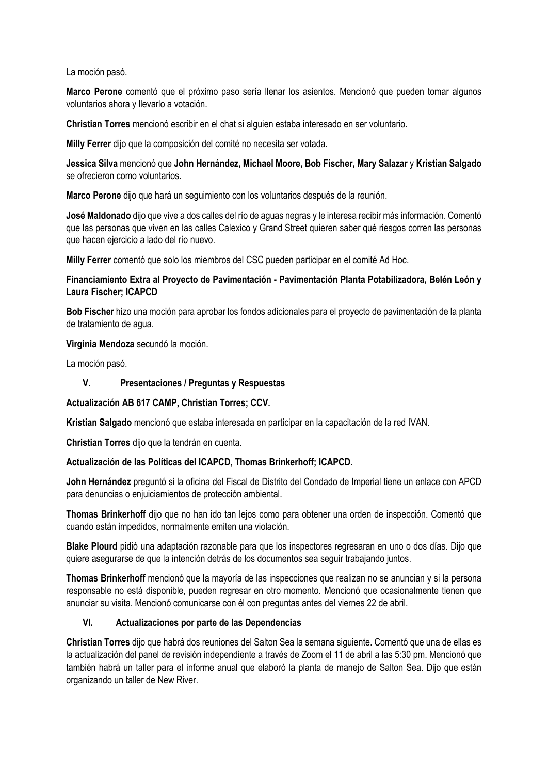La moción pasó.

**Marco Perone** comentó que el próximo paso sería llenar los asientos. Mencionó que pueden tomar algunos voluntarios ahora y llevarlo a votación.

**Christian Torres** mencionó escribir en el chat si alguien estaba interesado en ser voluntario.

**Milly Ferrer** dijo que la composición del comité no necesita ser votada.

**Jessica Silva** mencionó que **John Hernández, Michael Moore, Bob Fischer, Mary Salazar** y **Kristian Salgado** se ofrecieron como voluntarios.

**Marco Perone** dijo que hará un seguimiento con los voluntarios después de la reunión.

**José Maldonado** dijo que vive a dos calles del río de aguas negras y le interesa recibir más información. Comentó que las personas que viven en las calles Calexico y Grand Street quieren saber qué riesgos corren las personas que hacen ejercicio a lado del río nuevo.

**Milly Ferrer** comentó que solo los miembros del CSC pueden participar en el comité Ad Hoc.

# **Financiamiento Extra al Proyecto de Pavimentación - Pavimentación Planta Potabilizadora, Belén León y Laura Fischer; ICAPCD**

**Bob Fischer** hizo una moción para aprobar los fondos adicionales para el proyecto de pavimentación de la planta de tratamiento de agua.

### **Virginia Mendoza** secundó la moción.

La moción pasó.

## **V. Presentaciones / Preguntas y Respuestas**

**Actualización AB 617 CAMP, Christian Torres; CCV.**

**Kristian Salgado** mencionó que estaba interesada en participar en la capacitación de la red IVAN.

**Christian Torres** dijo que la tendrán en cuenta.

# **Actualización de las Políticas del ICAPCD, Thomas Brinkerhoff; ICAPCD.**

**John Hernández** preguntó si la oficina del Fiscal de Distrito del Condado de Imperial tiene un enlace con APCD para denuncias o enjuiciamientos de protección ambiental.

**Thomas Brinkerhoff** dijo que no han ido tan lejos como para obtener una orden de inspección. Comentó que cuando están impedidos, normalmente emiten una violación.

**Blake Plourd** pidió una adaptación razonable para que los inspectores regresaran en uno o dos días. Dijo que quiere asegurarse de que la intención detrás de los documentos sea seguir trabajando juntos.

**Thomas Brinkerhoff** mencionó que la mayoría de las inspecciones que realizan no se anuncian y si la persona responsable no está disponible, pueden regresar en otro momento. Mencionó que ocasionalmente tienen que anunciar su visita. Mencionó comunicarse con él con preguntas antes del viernes 22 de abril.

# **VI. Actualizaciones por parte de las Dependencias**

**Christian Torres** dijo que habrá dos reuniones del Salton Sea la semana siguiente. Comentó que una de ellas es la actualización del panel de revisión independiente a través de Zoom el 11 de abril a las 5:30 pm. Mencionó que también habrá un taller para el informe anual que elaboró la planta de manejo de Salton Sea. Dijo que están organizando un taller de New River.